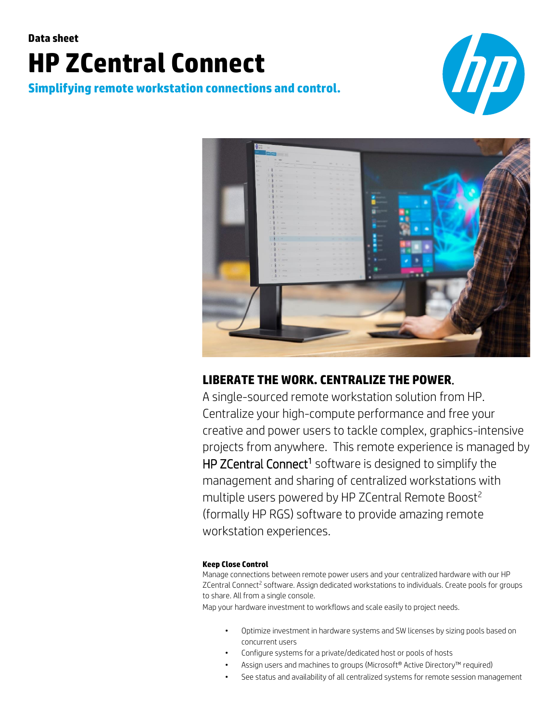# **Data sheet HP ZCentral Connect**

**Simplifying remote workstation connections and control.**





## **LIBERATE THE WORK. CENTRALIZE THE POWER**.

A single-sourced remote workstation solution from HP. Centralize your high-compute performance and free your creative and power users to tackle complex, graphics-intensive projects from anywhere. This remote experience is managed by HP ZCentral Connect<sup>1</sup> software is designed to simplify the management and sharing of centralized workstations with multiple users powered by HP ZCentral Remote Boost<sup>2</sup> (formally HP RGS) software to provide amazing remote workstation experiences.

#### **Keep Close Control**

Manage connections between remote power users and your centralized hardware with our HP ZCentral Connect<sup>2</sup> software. Assign dedicated workstations to individuals. Create pools for groups to share. All from a single console.

Map your hardware investment to workflows and scale easily to project needs.

- Optimize investment in hardware systems and SW licenses by sizing pools based on concurrent users
- Configure systems for a private/dedicated host or pools of hosts
- Assign users and machines to groups (Microsoft® Active Directory™ required)
- See status and availability of all centralized systems for remote session management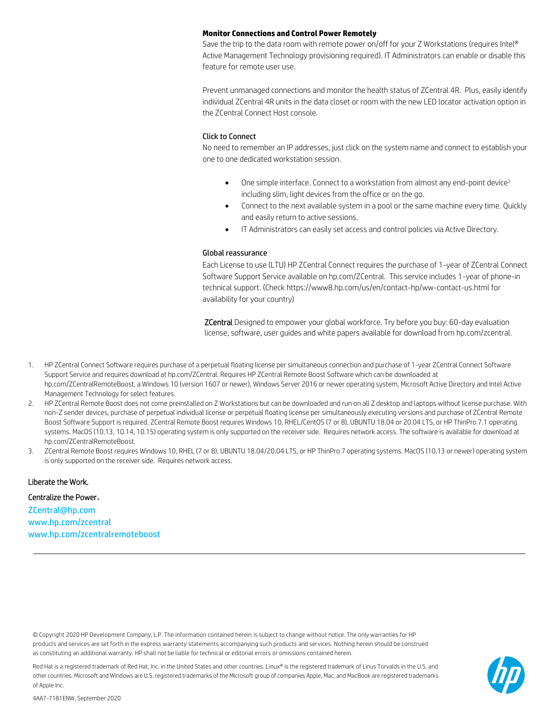#### **Monitor Connections and Control Power Remotely**

Save the trip to the data room with remote power on/off for your Z Workstations (requires Intel® Active Management Technology provisioning required). IT Administrators can enable or disable this feature for remote user use.

Prevent unmanaged connections and monitor the health status of ZCentral 4R. Plus, easily identify individual ZCentral 4R units in the data closet or room with the new LED locator activation option in the ZCentral Connect Host console.

#### Click to Connect

No need to remember an IP addresses, just click on the system name and connect to establish your one to one dedicated workstation session.

- One simple interface. Connect to a workstation from almost any end-point device<sup>3</sup> including slim, light devices from the office or on the go.
- Connect to the next available system in a pool or the same machine every time. Quickly and easily return to active sessions.
- IT Administrators can easily set access and control policies via Active Directory.

#### Global reassurance

Each License to use (LTU) HP ZCentral Connect requires the purchase of 1-year of ZCentral Connect Software Support Service available on hp.com/ZCentral. This service includes 1-year of phone-in technical support. (Check https://www8.hp.com/us/en/contact-hp/ww-contact-us.html for availability for your country)

ZCentral Designed to empower your global workforce. Try before you buy: 60-day evaluation license, software, user guides and white papers available for download from hp.com/zcentral.

- 1. HP ZCentral Connect Software requires purchase of a perpetual floating license per simultaneous connection and purchase of 1-year ZCentral Connect Software Support Service and requires download at hp.com/ZCentral. Requires HP ZCentral Remote Boost Software which can be downloaded at hp.com/ZCentralRemoteBoost, a Windows 10 (version 1607 or newer), Windows Server 2016 or newer operating system, Microsoft Active Directory and Intel Active Management Technology for select features.
- 2. HP ZCentral Remote Boost does not come preinstalled on Z Workstations but can be downloaded and run on all Z desktop and laptops without license purchase. With non-Z sender devices, purchase of perpetual individual license or perpetual floating license per simultaneously executing versions and purchase of ZCentral Remote Boost Software Support is required. ZCentral Remote Boost requires Windows 10, RHEL/CentOS (7 or 8), UBUNTU 18.04 or 20.04 LTS, or HP ThinPro 7.1 operating systems. MacOS (10.13, 10.14, 10.15) operating system is only supported on the receiver side. Requires network access. The software is available for download at hp.com/ZCentralRemoteBoost.
- 3. ZCentral Remote Boost requires Windows 10, RHEL (7 or 8), UBUNTU 18.04/20.04 LTS, or HP ThinPro 7 operating systems. MacOS (10.13 or newer) operating system is only supported on the receiver side. Requires network access.

#### Liberate the Work.

#### Centralize the Power.

[ZCentral@hp.com](mailto:ZCentral@hp.com) [www.hp.com/zcentral](http://www.hp.com/zcentral) [www.hp.com/zcentralremoteboost](http://www.hp.com/zcentralremoteboost)

© Copyright 2020 HP Development Company, L.P. The information contained herein is subject to change without notice. The only warranties for HP products and services are set forth in the express warranty statements accompanying such products and services. Nothing herein should be construed as constituting an additional warranty. HP shall not be liable for technical or editorial errors or omissions contained herein.